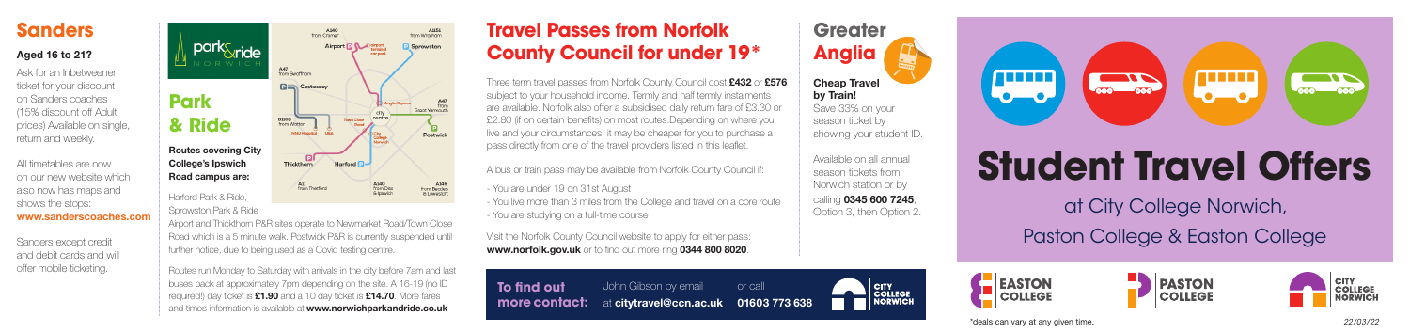# **Student Travel Offers**

at City College Norwich, Paston College & Easton College







### Sprowston Park & Ride

Routes run Monday to Saturday with arrivals in the city before 7am and last buses back at approximately 7pm depending on the site. A 16-19 (no ID required!) day ticket is £1.90 and a 10 day ticket is £14.70. More fares and times information is available at www.norwichparkandride.co.uk

Airport and Thickthorn P&R sites operate to Newmarket Road/Town Close Road which is a 5 minute walk. Postwick P&R is currently suspended until further notice, due to being used as a Covid testing centre.

## **Sanders**

## Aged 16 to 21?

Ask for an Inbetweener ticket for your discount on Sanders coaches (15% discount off Adult prices) Available on single, return and weekly.

Three term travel passes from Norfolk County Council cost £432 or £576 subject to your household income. Termly and half termly instalments are available. Norfolk also offer a subsidised daily return fare of £3.30 or £2.80 (if on certain benefits) on most routes.Depending on where you live and your circumstances, it may be cheaper for you to purchase a pass directly from one of the travel providers listed in this leaflet.

All timetables are now on our new website which also now has maps and shows the stops: www.sanderscoaches.com

> Visit the Norfolk County Council website to apply for either pass: www.norfolk.gov.uk or to find out more ring 0344 800 8020.

Sanders except credit and debit cards and will offer mobile ticketing.

**Greater Anglia** Cheap Travel by Train! Save 33% on your season ticket by showing your student ID.

Available on all annual season tickets from Norwich station or by calling 0345 600 7245, Option 3, then Option 2.

CITY<br>COLLEGE

\*deals can vary at any given time.



# **Travel Passes from Norfolk County Council for under 19\***

A bus or train pass may be available from Norfolk County Council if:

- You are under 19 on 31st August
- You live more than 3 miles from the College and travel on a core route - You are studying on a full-time course

*22/03/22*